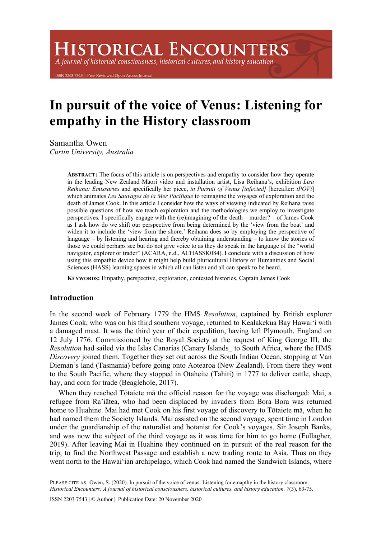# **HISTORICAL ENCOUNTERS**

A journal of historical consciousness, historical cultures, and history education

203-7543 | Peer-Reviewed Open Access Journ

## **In pursuit of the voice of Venus: Listening for empathy in the History classroom**

Samantha Owen

*Curtin University, Australia*

**ABSTRACT:** The focus of this article is on perspectives and empathy to consider how they operate in the leading New Zealand Māori video and installation artist, Lisa Reihana's, exhibition *Lisa Reihana: Emissaries* and specifically her piece, *in Pursuit of Venus [infected]* [hereafter: *iPOVi*] which animates *Les Sauvages de la Mer Pacifique* to reimagine the voyages of exploration and the death of James Cook. In this article I consider how the ways of viewing indicated by Reihana raise possible questions of how we teach exploration and the methodologies we employ to investigate perspectives. I specifically engage with the (re)imagining of the death – murder? – of James Cook as I ask how do we shift our perspective from being determined by the 'view from the boat' and widen it to include the 'view from the shore.' Reihana does so by employing the perspective of language – by listening and hearing and thereby obtaining understanding – to know the stories of those we could perhaps see but do not give voice to as they do speak in the language of the "world navigator, explorer or trader" (ACARA, n.d., ACHASSK084). I conclude with a discussion of how using this empathic device how it might help build pluricultural History or Humanities and Social Sciences (HASS) learning spaces in which all can listen and all can speak to be heard.

**KEYWORDS:** Empathy, perspective, exploration, contested histories, Captain James Cook

#### **Introduction**

In the second week of February 1779 the HMS *Resolution*, captained by British explorer James Cook, who was on his third southern voyage, returned to Kealakekua Bay Hawai'i with a damaged mast. It was the third year of their expedition, having left Plymouth, England on 12 July 1776. Commissioned by the Royal Society at the request of King George III, the *Resolution* had sailed via the Islas Canarias (Canary Islands\_ to South Africa, where the HMS *Discovery* joined them. Together they set out across the South Indian Ocean, stopping at Van Dieman's land (Tasmania) before going onto Aotearoa (New Zealand). From there they went to the South Pacific, where they stopped in Otaheite (Tahiti) in 1777 to deliver cattle, sheep, hay, and corn for trade (Beaglehole, 2017).

When they reached Tōtaiete mā the official reason for the voyage was discharged: Mai, a refugee from Ra'iātea, who had been displaced by invaders from Bora Bora was returned home to Huahine. Mai had met Cook on his first voyage of discovery to Tōtaiete mā, when he had named them the Society Islands. Mai assisted on the second voyage, spent time in London under the guardianship of the naturalist and botanist for Cook's voyages, Sir Joseph Banks, and was now the subject of the third voyage as it was time for him to go home (Fullagher, 2019). After leaving Mai in Huahine they continued on in pursuit of the real reason for the trip, to find the Northwest Passage and establish a new trading route to Asia. Thus on they went north to the Hawai'ian archipelago, which Cook had named the Sandwich Islands, where

PLEASE CITE AS: Owen, S. (2020). In pursuit of the voice of venus: Listening for emapthy in the history classroom. *Historical Encounters: A journal of historical consciousness, historical cultures, and history education, 7*(3), 63-75.

ISSN 2203 7543 | © Author | Publication Date: 20 November 2020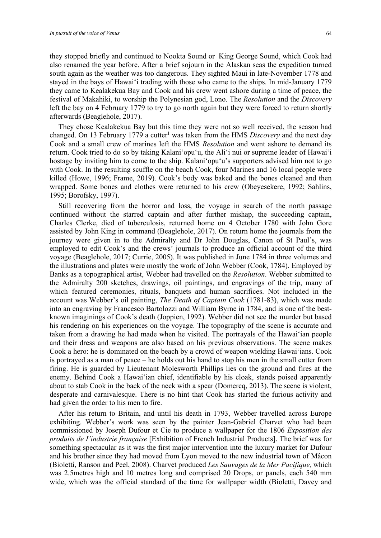they stopped briefly and continued to Nookta Sound or King George Sound, which Cook had also renamed the year before. After a brief sojourn in the Alaskan seas the expedition turned south again as the weather was too dangerous. They sighted Maui in late-November 1778 and stayed in the bays of Hawai'i trading with those who came to the ships. In mid-January 1779 they came to Kealakekua Bay and Cook and his crew went ashore during a time of peace, the festival of Makahiki, to worship the Polynesian god, Lono. The *Resolution* and the *Discovery* left the bay on 4 February 1779 to try to go north again but they were forced to return shortly afterwards (Beaglehole, 2017).

They chose Kealakekua Bay but this time they were not so well received, the season had changed. On 13 February 1779 a cutter<sup>1</sup> was taken from the HMS *Discovery* and the next day Cook and a small crew of marines left the HMS *Resolution* and went ashore to demand its return. Cook tried to do so by taking Kalani'opu'u, the Aliʻi nui or supreme leader of Hawai'i hostage by inviting him to come to the ship. Kalani'opu'u's supporters advised him not to go with Cook. In the resulting scuffle on the beach Cook, four Marines and 16 local people were killed (Howe, 1996; Frame, 2019). Cook's body was baked and the bones cleaned and then wrapped. Some bones and clothes were returned to his crew (Obeyesekere, 1992; Sahlins, 1995; Borofsky, 1997).

Still recovering from the horror and loss, the voyage in search of the north passage continued without the starred captain and after further mishap, the succeeding captain, Charles Clerke, died of tuberculosis, returned home on 4 October 1780 with John Gore assisted by John King in command (Beaglehole, 2017). On return home the journals from the journey were given in to the Admiralty and Dr John Douglas, Canon of St Paul's, was employed to edit Cook's and the crews' journals to produce an official account of the third voyage (Beaglehole, 2017; Currie, 2005). It was published in June 1784 in three volumes and the illustrations and plates were mostly the work of John Webber (Cook, 1784). Employed by Banks as a topographical artist, Webber had travelled on the *Resolution*. Webber submitted to the Admiralty 200 sketches, drawings, oil paintings, and engravings of the trip, many of which featured ceremonies, rituals, banquets and human sacrifices. Not included in the account was Webber's oil painting, *The Death of Captain Cook* (1781-83), which was made into an engraving by Francesco Bartolozzi and William Byrne in 1784, and is one of the bestknown imaginings of Cook's death (Joppien, 1992). Webber did not see the murder but based his rendering on his experiences on the voyage. The topography of the scene is accurate and taken from a drawing he had made when he visited. The portrayals of the Hawai'ian people and their dress and weapons are also based on his previous observations. The scene makes Cook a hero: he is dominated on the beach by a crowd of weapon wielding Hawai'ians. Cook is portrayed as a man of peace – he holds out his hand to stop his men in the small cutter from firing. He is guarded by Lieutenant Molesworth Phillips lies on the ground and fires at the enemy. Behind Cook a Hawai'ian chief, identifiable by his cloak, stands poised apparently about to stab Cook in the back of the neck with a spear (Domercq, 2013). The scene is violent, desperate and carnivalesque. There is no hint that Cook has started the furious activity and had given the order to his men to fire.

After his return to Britain, and until his death in 1793, Webber travelled across Europe exhibiting. Webber's work was seen by the painter Jean-Gabriel Charvet who had been commissioned by Joseph Dufour et Cie to produce a wallpaper for the 1806 *Exposition des produits de I'industrie française* [Exhibition of French Industrial Products]. The brief was for something spectacular as it was the first major intervention into the luxury market for Dufour and his brother since they had moved from Lyon moved to the new industrial town of Mâcon (Bioletti, Ranson and Peel, 2008). Charvet produced *Les Sauvages de la Mer Pacifique,* which was 2.5metres high and 10 metres long and comprised 20 Drops, or panels, each 540 mm wide, which was the official standard of the time for wallpaper width (Bioletti, Davey and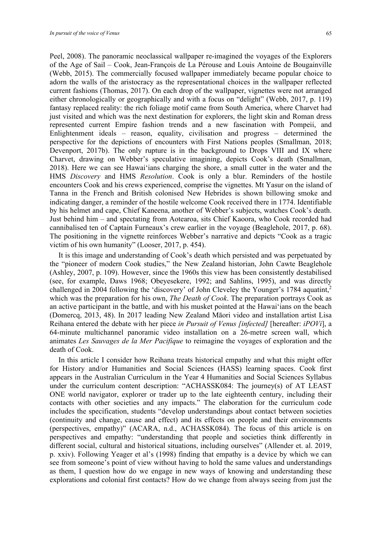Peel, 2008). The panoramic neoclassical wallpaper re-imagined the voyages of the Explorers of the Age of Sail – Cook, Jean-François de La Pérouse and Louis Antoine de Bougainville (Webb, 2015). The commercially focused wallpaper immediately became popular choice to adorn the walls of the aristocracy as the representational choices in the wallpaper reflected current fashions (Thomas, 2017). On each drop of the wallpaper, vignettes were not arranged either chronologically or geographically and with a focus on "delight" (Webb, 2017, p. 119) fantasy replaced reality: the rich foliage motif came from South America, where Charvet had just visited and which was the next destination for explorers, the light skin and Roman dress represented current Empire fashion trends and a new fascination with Pompeii, and Enlightenment ideals – reason, equality, civilisation and progress – determined the perspective for the depictions of encounters with First Nations peoples (Smallman, 2018; Devenport, 2017b). The only rupture is in the background to Drops VIII and IX where Charvet, drawing on Webber's speculative imagining, depicts Cook's death (Smallman, 2018). Here we can see Hawai'ians charging the shore, a small cutter in the water and the HMS *Discovery* and HMS *Resolution*. Cook is only a blur. Reminders of the hostile encounters Cook and his crews experienced, comprise the vignettes. Mt Yasur on the island of Tanna in the French and British colonised New Hebrides is shown billowing smoke and indicating danger, a reminder of the hostile welcome Cook received there in 1774. Identifiable by his helmet and cape, Chief Kaneena, another of Webber's subjects, watches Cook's death. Just behind him – and spectating from Aotearoa, sits Chief Kaoora, who Cook recorded had cannibalised ten of Captain Furneaux's crew earlier in the voyage (Beaglehole, 2017, p. 68). The positioning in the vignette reinforces Webber's narrative and depicts "Cook as a tragic victim of his own humanity" (Looser, 2017, p. 454).

It is this image and understanding of Cook's death which persisted and was perpetuated by the "pioneer of modern Cook studies," the New Zealand historian, John Cawte Beaglehole (Ashley, 2007, p. 109). However, since the 1960s this view has been consistently destabilised (see, for example, Daws 1968; Obeyesekere, 1992; and Sahlins, 1995), and was directly challenged in 2004 following the 'discovery' of John Cleveley the Younger's 1784 aquatint,<sup>2</sup> which was the preparation for his own, *The Death of Cook*. The preparation portrays Cook as an active participant in the battle, and with his musket pointed at the Hawai'ians on the beach (Domercq, 2013, 48). In 2017 leading New Zealand Māori video and installation artist Lisa Reihana entered the debate with her piece *in Pursuit of Venus [infected]* [hereafter: *iPOVi*], a 64-minute multichannel panoramic video installation on a 26-metre screen wall, which animates *Les Sauvages de la Mer Pacifique* to reimagine the voyages of exploration and the death of Cook.

In this article I consider how Reihana treats historical empathy and what this might offer for History and/or Humanities and Social Sciences (HASS) learning spaces. Cook first appears in the Australian Curriculum in the Year 4 Humanities and Social Sciences Syllabus under the curriculum content description: "ACHASSK084: The journey(s) of AT LEAST ONE world navigator, explorer or trader up to the late eighteenth century, including their contacts with other societies and any impacts." The elaboration for the curriculum code includes the specification, students "develop understandings about contact between societies (continuity and change, cause and effect) and its effects on people and their environments (perspectives, empathy)" (ACARA, n.d., ACHASSK084). The focus of this article is on perspectives and empathy: "understanding that people and societies think differently in different social, cultural and historical situations, including ourselves" (Allender et. al. 2019, p. xxiv). Following Yeager et al's (1998) finding that empathy is a device by which we can see from someone's point of view without having to hold the same values and understandings as them, I question how do we engage in new ways of knowing and understanding these explorations and colonial first contacts? How do we change from always seeing from just the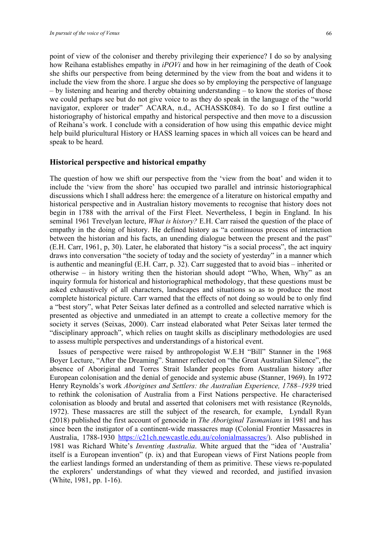point of view of the coloniser and thereby privileging their experience? I do so by analysing

how Reihana establishes empathy in *iPOVi* and how in her reimagining of the death of Cook she shifts our perspective from being determined by the view from the boat and widens it to include the view from the shore. I argue she does so by employing the perspective of language – by listening and hearing and thereby obtaining understanding – to know the stories of those we could perhaps see but do not give voice to as they do speak in the language of the "world navigator, explorer or trader" ACARA, n.d., ACHASSK084). To do so I first outline a historiography of historical empathy and historical perspective and then move to a discussion of Reihana's work. I conclude with a consideration of how using this empathic device might help build pluricultural History or HASS learning spaces in which all voices can be heard and speak to be heard.

#### **Historical perspective and historical empathy**

The question of how we shift our perspective from the 'view from the boat' and widen it to include the 'view from the shore' has occupied two parallel and intrinsic historiographical discussions which I shall address here: the emergence of a literature on historical empathy and historical perspective and in Australian history movements to recognise that history does not begin in 1788 with the arrival of the First Fleet. Nevertheless, I begin in England. In his seminal 1961 Trevelyan lecture, *What is history?* E.H. Carr raised the question of the place of empathy in the doing of history. He defined history as "a continuous process of interaction between the historian and his facts, an unending dialogue between the present and the past" (E.H. Carr, 1961, p, 30). Later, he elaborated that history "is a social process", the act inquiry draws into conversation "the society of today and the society of yesterday" in a manner which is authentic and meaningful (E.H. Carr, p. 32). Carr suggested that to avoid bias – inherited or otherwise – in history writing then the historian should adopt "Who, When, Why" as an inquiry formula for historical and historiographical methodology, that these questions must be asked exhaustively of all characters, landscapes and situations so as to produce the most complete historical picture. Carr warned that the effects of not doing so would be to only find a "best story", what Peter Seixas later defined as a controlled and selected narrative which is presented as objective and unmediated in an attempt to create a collective memory for the society it serves (Seixas, 2000). Carr instead elaborated what Peter Seixas later termed the "disciplinary approach", which relies on taught skills as disciplinary methodologies are used to assess multiple perspectives and understandings of a historical event.

Issues of perspective were raised by anthropologist W.E.H "Bill" Stanner in the 1968 Boyer Lecture, "After the Dreaming". Stanner reflected on "the Great Australian Silence", the absence of Aboriginal and Torres Strait Islander peoples from Australian history after European colonisation and the denial of genocide and systemic abuse (Stanner, 1969). In 1972 Henry Reynolds's work *Aborigines and Settlers: the Australian Experience, 1788–1939* tried to rethink the colonisation of Australia from a First Nations perspective. He characterised colonisation as bloody and brutal and asserted that colonisers met with resistance (Reynolds, 1972). These massacres are still the subject of the research, for example, Lyndall Ryan (2018) published the first account of genocide in *The Aboriginal Tasmanians* in 1981 and has since been the instigator of a continent-wide massacres map (Colonial Frontier Massacres in Australia, 1788-1930 https://c21ch.newcastle.edu.au/colonialmassacres/). Also published in 1981 was Richard White's *Inventing Australia*. White argued that the "idea of 'Australia' itself is a European invention" (p. ix) and that European views of First Nations people from the earliest landings formed an understanding of them as primitive. These views re-populated the explorers' understandings of what they viewed and recorded, and justified invasion (White, 1981, pp. 1-16).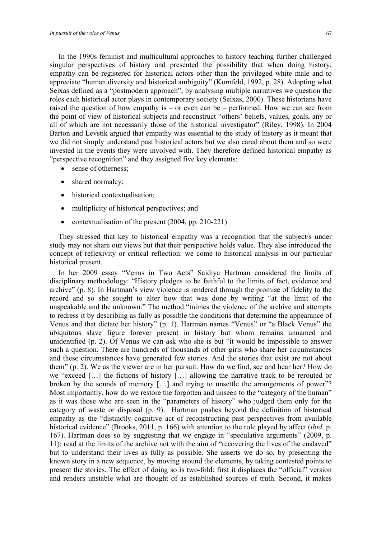In the 1990s feminist and multicultural approaches to history teaching further challenged singular perspectives of history and presented the possibility that when doing history, empathy can be registered for historical actors other than the privileged white male and to appreciate "human diversity and historical ambiguity" (Kornfeld, 1992, p. 28). Adopting what Seixas defined as a "postmodern approach", by analysing multiple narratives we question the roles each historical actor plays in contemporary society (Seixas, 2000). These historians have raised the question of how empathy is – or even can be – performed. How we can see from the point of view of historical subjects and reconstruct "others' beliefs, values, goals, any or all of which are not necessarily those of the historical investigator" (Riley, 1998). In 2004 Barton and Levstik argued that empathy was essential to the study of history as it meant that we did not simply understand past historical actors but we also cared about them and so were invested in the events they were involved with. They therefore defined historical empathy as "perspective recognition" and they assigned five key elements:

- sense of otherness:
- shared normalcy;
- historical contextualisation;
- multiplicity of historical perspectives; and
- contextualisation of the present (2004, pp. 210-221).

They stressed that key to historical empathy was a recognition that the subject/s under study may not share our views but that their perspective holds value. They also introduced the concept of reflexivity or critical reflection: we come to historical analysis in our particular historical present.

In her 2009 essay "Venus in Two Acts" Saidiya Hartman considered the limits of disciplinary methodology: "History pledges to be faithful to the limits of fact, evidence and archive" (p. 8). In Hartman's view violence is rendered through the promise of fidelity to the record and so she sought to alter how that was done by writing "at the limit of the unspeakable and the unknown." The method "mimes the violence of the archive and attempts to redress it by describing as fully as possible the conditions that determine the appearance of Venus and that dictate her history" (p. 1). Hartman names "Venus" or "a Black Venus" the ubiquitous slave figure forever present in history but whom remains unnamed and unidentified (p. 2). Of Venus we can ask who she is but "it would be impossible to answer such a question. There are hundreds of thousands of other girls who share her circumstances and these circumstances have generated few stories. And the stories that exist are not about them" (p. 2). We as the viewer are in her pursuit. How do we find, see and hear her? How do we "exceed […] the fictions of history […] allowing the narrative track to be rerouted or broken by the sounds of memory [...] and trying to unsettle the arrangements of power"? Most importantly, how do we restore the forgotten and unseen to the "category of the human" as it was those who are seen in the "parameters of history" who judged them only for the category of waste or disposal (p. 9). Hartman pushes beyond the definition of historical empathy as the "distinctly cognitive act of reconstructing past perspectives from available historical evidence" (Brooks, 2011, p. 166) with attention to the role played by affect (*ibid.* p. 167). Hartman does so by suggesting that we engage in "speculative arguments" (2009, p. 11): read at the limits of the archive not with the aim of "recovering the lives of the enslaved" but to understand their lives as fully as possible. She asserts we do so, by presenting the known story in a new sequence, by moving around the elements, by taking contested points to present the stories. The effect of doing so is two-fold: first it displaces the "official" version and renders unstable what are thought of as established sources of truth. Second, it makes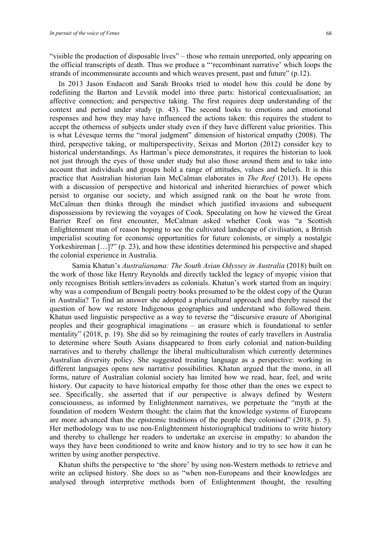"visible the production of disposable lives" – those who remain unreported, only appearing on the official transcripts of death. Thus we produce a "'recombinant narrative' which loops the strands of incommensurate accounts and which weaves present, past and future" (p.12).

In 2013 Jason Endacott and Sarah Brooks tried to model how this could be done by redefining the Barton and Levstik model into three parts: historical contexualisation; an affective connection; and perspective taking. The first requires deep understanding of the context and period under study (p. 43). The second looks to emotions and emotional responses and how they may have influenced the actions taken: this requires the student to accept the otherness of subjects under study even if they have different value priorities. This is what Lévesque terms the "moral judgment" dimension of historical empathy (2008). The third, perspective taking, or multiperspectivity, Seixas and Morton (2012) consider key to historical understandings. As Hartman's piece demonstrates, it requires the historian to look not just through the eyes of those under study but also those around them and to take into account that individuals and groups hold a range of attitudes, values and beliefs. It is this practice that Australian historian Iain McCalman elaborates in *The Reef* (2013). He opens with a discussion of perspective and historical and inherited hierarchies of power which persist to organise our society, and which assigned rank on the boat he wrote from. McCalman then thinks through the mindset which justified invasions and subsequent dispossessions by reviewing the voyages of Cook. Speculating on how he viewed the Great Barrier Reef on first encounter, McCalman asked whether Cook was "a Scottish Enlightenment man of reason hoping to see the cultivated landscape of civilisation, a British imperialist scouting for economic opportunities for future colonists, or simply a nostalgic Yorkeshireman [...]?" (p. 23), and how these identities determined his perspective and shaped the colonial experience in Australia.

Samia Khatun's *Australianama: The South Asian Odyssey in Australia* (2018) built on the work of those like Henry Reynolds and directly tackled the legacy of myopic vision that only recognises British settlers/invaders as colonials. Khatun's work started from an inquiry: why was a compendium of Bengali poetry books presumed to be the oldest copy of the Quran in Australia? To find an answer she adopted a pluricultural approach and thereby raised the question of how we restore Indigenous geographies and understand who followed them. Khatun used linguistic perspective as a way to reverse the "discursive erasure of Aboriginal peoples and their geographical imaginations – an erasure which is foundational to settler mentality" (2018, p. 19). She did so by reimagining the routes of early travellers in Australia to determine where South Asians disappeared to from early colonial and nation-building narratives and to thereby challenge the liberal multiculturalism which currently determines Australian diversity policy. She suggested treating language as a perspective: working in different languages opens new narrative possibilities. Khatun argued that the mono, in all forms, nature of Australian colonial society has limited how we read, hear, feel, and write history. Our capacity to have historical empathy for those other than the ones we expect to see. Specifically, she asserted that if our perspective is always defined by Western consciousness, as informed by Enlightenment narratives, we perpetuate the "myth at the foundation of modern Western thought: the claim that the knowledge systems of Europeans are more advanced than the epistemic traditions of the people they colonised" (2018, p. 5). Her methodology was to use non-Enlightenment historiographical traditions to write history and thereby to challenge her readers to undertake an exercise in empathy: to abandon the ways they have been conditioned to write and know history and to try to see how it can be written by using another perspective.

Khatun shifts the perspective to 'the shore' by using non-Western methods to retrieve and write an eclipsed history. She does so as "when non-Europeans and their knowledges are analysed through interpretive methods born of Enlightenment thought, the resulting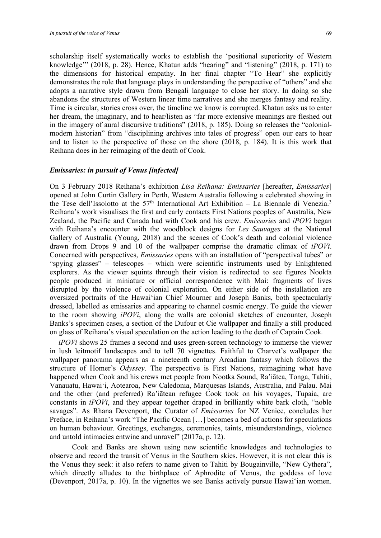scholarship itself systematically works to establish the 'positional superiority of Western knowledge'" (2018, p. 28). Hence, Khatun adds "hearing" and "listening" (2018, p. 171) to the dimensions for historical empathy. In her final chapter "To Hear" she explicitly demonstrates the role that language plays in understanding the perspective of "others" and she adopts a narrative style drawn from Bengali language to close her story. In doing so she abandons the structures of Western linear time narratives and she merges fantasy and reality. Time is circular, stories cross over, the timeline we know is corrupted. Khatun asks us to enter her dream, the imaginary, and to hear/listen as "far more extensive meanings are fleshed out in the imagery of aural discursive traditions" (2018, p. 185). Doing so releases the "colonialmodern historian" from "disciplining archives into tales of progress" open our ears to hear and to listen to the perspective of those on the shore (2018, p. 184). It is this work that Reihana does in her reimaging of the death of Cook.

#### *Emissaries: in pursuit of Venus [infected]*

On 3 February 2018 Reihana's exhibition *Lisa Reihana: Emissaries* [hereafter, *Emissaries*] opened at John Curtin Gallery in Perth, Western Australia following a celebrated showing in the Tese dell'Issolotto at the  $57<sup>th</sup>$  International Art Exhibition – La Biennale di Venezia.<sup>3</sup> Reihana's work visualises the first and early contacts First Nations peoples of Australia, New Zealand, the Pacific and Canada had with Cook and his crew. *Emissaries* and *iPOVi* began with Reihana's encounter with the woodblock designs for *Les Sauvages* at the National Gallery of Australia (Young, 2018) and the scenes of Cook's death and colonial violence drawn from Drops 9 and 10 of the wallpaper comprise the dramatic climax of *iPOVi*. Concerned with perspectives, *Emissaries* opens with an installation of "perspectival tubes" or "spying glasses" – telescopes – which were scientific instruments used by Enlightened explorers. As the viewer squints through their vision is redirected to see figures Nookta people produced in miniature or official correspondence with Mai: fragments of lives disrupted by the violence of colonial exploration. On either side of the installation are oversized portraits of the Hawai'ian Chief Mourner and Joseph Banks, both spectacularly dressed, labelled as emissaries and appearing to channel cosmic energy. To guide the viewer to the room showing *iPOVi*, along the walls are colonial sketches of encounter, Joseph Banks's specimen cases, a section of the Dufour et Cie wallpaper and finally a still produced on glass of Reihana's visual speculation on the action leading to the death of Captain Cook*.*

*iPOVi* shows 25 frames a second and uses green-screen technology to immerse the viewer in lush leitmotif landscapes and to tell 70 vignettes. Faithful to Charvet's wallpaper the wallpaper panorama appears as a nineteenth century Arcadian fantasy which follows the structure of Homer's *Odyssey*. The perspective is First Nations, reimagining what have happened when Cook and his crews met people from Nootka Sound, Ra'iātea, Tonga, Tahiti, Vanauatu, Hawai'i, Aotearoa, New Caledonia, Marquesas Islands, Australia, and Palau. Mai and the other (and preferred) Ra'iātean refugee Cook took on his voyages, Tupaia, are constants in *iPOVi*, and they appear together draped in brilliantly white bark cloth, "noble savages". As Rhana Devenport, the Curator of *Emissaries* for NZ Venice, concludes her Preface, in Reihana's work "The Pacific Ocean […] becomes a bed of actions for speculations on human behaviour. Greetings, exchanges, ceremonies, taints, misunderstandings, violence and untold intimacies entwine and unravel" (2017a, p. 12).

Cook and Banks are shown using new scientific knowledges and technologies to observe and record the transit of Venus in the Southern skies. However, it is not clear this is the Venus they seek: it also refers to name given to Tahiti by Bougainville, "New Cythera", which directly alludes to the birthplace of Aphrodite of Venus, the goddess of love (Devenport, 2017a, p. 10). In the vignettes we see Banks actively pursue Hawai'ian women.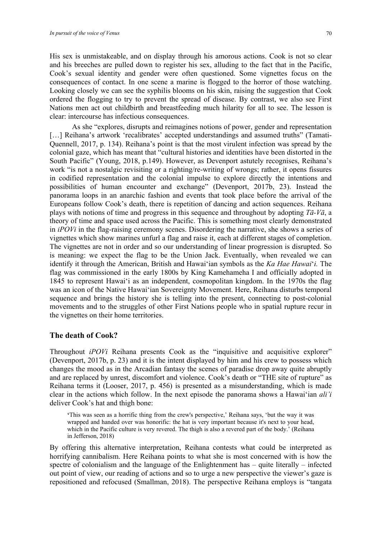His sex is unmistakeable, and on display through his amorous actions. Cook is not so clear and his breeches are pulled down to register his sex, alluding to the fact that in the Pacific, Cook's sexual identity and gender were often questioned. Some vignettes focus on the consequences of contact. In one scene a marine is flogged to the horror of those watching. Looking closely we can see the syphilis blooms on his skin, raising the suggestion that Cook ordered the flogging to try to prevent the spread of disease. By contrast, we also see First Nations men act out childbirth and breastfeeding much hilarity for all to see. The lesson is clear: intercourse has infectious consequences.

As she "explores, disrupts and reimagines notions of power, gender and representation [...] Reihana's artwork 'recalibrates' accepted understandings and assumed truths" (Tamati-Quennell, 2017, p. 134). Reihana's point is that the most virulent infection was spread by the colonial gaze, which has meant that "cultural histories and identities have been distorted in the South Pacific" (Young, 2018, p.149). However, as Devenport astutely recognises, Reihana's work "is not a nostalgic revisiting or a righting/re-writing of wrongs; rather, it opens fissures in codified representation and the colonial impulse to explore directly the intentions and possibilities of human encounter and exchange" (Devenport, 2017b, 23). Instead the panorama loops in an anarchic fashion and events that took place before the arrival of the Europeans follow Cook's death, there is repetition of dancing and action sequences. Reihana plays with notions of time and progress in this sequence and throughout by adopting *Tā-Vā*, a theory of time and space used across the Pacific. This is something most clearly demonstrated in *iPOVi* in the flag-raising ceremony scenes. Disordering the narrative, she shows a series of vignettes which show marines unfurl a flag and raise it, each at different stages of completion. The vignettes are not in order and so our understanding of linear progression is disrupted. So is meaning: we expect the flag to be the Union Jack. Eventually, when revealed we can identify it through the American, British and Hawai'ian symbols as the *Ka Hae Hawai*'*i.* The flag was commissioned in the early 1800s by King Kamehameha I and officially adopted in 1845 to represent Hawai'i as an independent, cosmopolitan kingdom. In the 1970s the flag was an icon of the Native Hawai'ian Sovereignty Movement. Here, Reihana disturbs temporal sequence and brings the history she is telling into the present, connecting to post-colonial movements and to the struggles of other First Nations people who in spatial rupture recur in the vignettes on their home territories.

#### **The death of Cook?**

Throughout *iPOVi* Reihana presents Cook as the "inquisitive and acquisitive explorer" (Devenport, 2017b, p. 23) and it is the intent displayed by him and his crew to possess which changes the mood as in the Arcadian fantasy the scenes of paradise drop away quite abruptly and are replaced by unrest, discomfort and violence. Cook's death or "THE site of rupture" as Reihana terms it (Looser, 2017, p. 456) is presented as a misunderstanding, which is made clear in the actions which follow. In the next episode the panorama shows a Hawai'ian *ali'i* deliver Cook's hat and thigh bone:

**'**This was seen as a horrific thing from the crew's perspective,' Reihana says, 'but the way it was wrapped and handed over was honorific: the hat is very important because it's next to your head, which in the Pacific culture is very revered. The thigh is also a revered part of the body.' (Reihana in Jefferson, 2018)

By offering this alternative interpretation, Reihana contests what could be interpreted as horrifying cannibalism. Here Reihana points to what she is most concerned with is how the spectre of colonialism and the language of the Enlightenment has – quite literally – infected out point of view, our reading of actions and so to urge a new perspective the viewer's gaze is repositioned and refocused (Smallman, 2018). The perspective Reihana employs is "tangata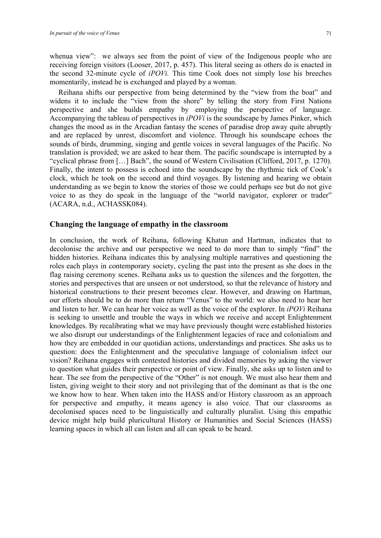whenua view": we always see from the point of view of the Indigenous people who are receiving foreign visitors (Looser, 2017, p. 457). This literal seeing as others do is enacted in the second 32-minute cycle of *iPOVi.* This time Cook does not simply lose his breeches momentarily, instead he is exchanged and played by a woman.

Reihana shifts our perspective from being determined by the "view from the boat" and widens it to include the "view from the shore" by telling the story from First Nations perspective and she builds empathy by employing the perspective of language. Accompanying the tableau of perspectives in *iPOVi* is the soundscape by James Pinker, which changes the mood as in the Arcadian fantasy the scenes of paradise drop away quite abruptly and are replaced by unrest, discomfort and violence. Through his soundscape echoes the sounds of birds, drumming, singing and gentle voices in several languages of the Pacific. No translation is provided; we are asked to hear them. The pacific soundscape is interrupted by a "cyclical phrase from […] Bach", the sound of Western Civilisation (Clifford, 2017, p. 1270). Finally, the intent to possess is echoed into the soundscape by the rhythmic tick of Cook's clock, which he took on the second and third voyages. By listening and hearing we obtain understanding as we begin to know the stories of those we could perhaps see but do not give voice to as they do speak in the language of the "world navigator, explorer or trader" (ACARA, n.d., ACHASSK084).

#### **Changing the language of empathy in the classroom**

In conclusion, the work of Reihana, following Khatun and Hartman, indicates that to decolonise the archive and our perspective we need to do more than to simply "find" the hidden histories. Reihana indicates this by analysing multiple narratives and questioning the roles each plays in contemporary society, cycling the past into the present as she does in the flag raising ceremony scenes. Reihana asks us to question the silences and the forgotten, the stories and perspectives that are unseen or not understood, so that the relevance of history and historical constructions to their present becomes clear. However, and drawing on Hartman, our efforts should be to do more than return "Venus" to the world: we also need to hear her and listen to her. We can hear her voice as well as the voice of the explorer. In *iPOVi* Reihana is seeking to unsettle and trouble the ways in which we receive and accept Enlightenment knowledges. By recalibrating what we may have previously thought were established histories we also disrupt our understandings of the Enlightenment legacies of race and colonialism and how they are embedded in our quotidian actions, understandings and practices. She asks us to question: does the Enlightenment and the speculative language of colonialism infect our vision? Reihana engages with contested histories and divided memories by asking the viewer to question what guides their perspective or point of view. Finally, she asks up to listen and to hear. The see from the perspective of the "Other" is not enough. We must also hear them and listen, giving weight to their story and not privileging that of the dominant as that is the one we know how to hear. When taken into the HASS and/or History classroom as an approach for perspective and empathy, it means agency is also voice. That our classrooms as decolonised spaces need to be linguistically and culturally pluralist. Using this empathic device might help build pluricultural History or Humanities and Social Sciences (HASS) learning spaces in which all can listen and all can speak to be heard.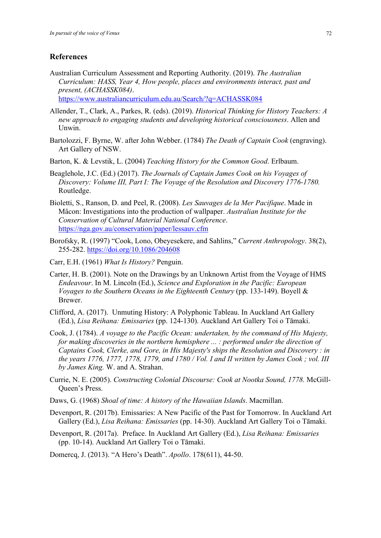#### **References**

- Australian Curriculum Assessment and Reporting Authority. (2019). *The Australian Curriculum: HASS, Year 4, How people, places and environments interact, past and present, (ACHASSK084)*. https://www.australiancurriculum.edu.au/Search/?q=ACHASSK084
- Allender, T., Clark, A., Parkes, R. (eds). (2019). *Historical Thinking for History Teachers: A new approach to engaging students and developing historical consciousness*. Allen and Unwin.
- Bartolozzi, F. Byrne, W. after John Webber. (1784) *The Death of Captain Cook* (engraving). Art Gallery of NSW.
- Barton, K. & Levstik, L. (2004) *Teaching History for the Common Good*. Erlbaum.
- Beaglehole, J.C. (Ed.) (2017). *The Journals of Captain James Cook on his Voyages of Discovery: Volume III, Part I: The Voyage of the Resolution and Discovery 1776-1780.* Routledge.
- Bioletti, S., Ranson, D. and Peel, R. (2008). *Les Sauvages de la Mer Pacifique*. Made in Mâcon: Investigations into the production of wallpaper. *Australian Institute for the Conservation of Cultural Material National Conference*. https://nga.gov.au/conservation/paper/lessauv.cfm
- Borofsky, R. (1997) "Cook, Lono, Obeyesekere, and Sahlins," *Current Anthropology*. 38(2), 255-282. https://doi.org/10.1086/204608
- Carr, E.H. (1961) *What Is History?* Penguin.
- Carter, H. B. (2001). Note on the Drawings by an Unknown Artist from the Voyage of HMS *Endeavour*. In M. Lincoln (Ed.), *Science and Exploration in the Pacific: European Voyages to the Southern Oceans in the Eighteenth Century (pp. 133-149). Boyell &* Brewer.
- Clifford, A. (2017). Unmuting History: A Polyphonic Tableau. In Auckland Art Gallery (Ed.), *Lisa Reihana: Emissaries* (pp. 124-130). Auckland Art Gallery Toi o Tāmaki.
- Cook, J. (1784). *A voyage to the Pacific Ocean: undertaken, by the command of His Majesty, for making discoveries in the northern hemisphere ... : performed under the direction of Captains Cook, Clerke, and Gore, in His Majesty's ships the Resolution and Discovery : in the years 1776, 1777, 1778, 1779, and 1780 / Vol. I and II written by James Cook ; vol. III by James King.* W. and A. Strahan.
- Currie, N. E. (2005). *Constructing Colonial Discourse: Cook at Nootka Sound, 1778.* McGill-Queen's Press.
- Daws, G. (1968) *Shoal of time: A history of the Hawaiian Islands*. Macmillan.
- Devenport, R. (2017b). Emissaries: A New Pacific of the Past for Tomorrow. In Auckland Art Gallery (Ed.), *Lisa Reihana: Emissaries* (pp. 14-30). Auckland Art Gallery Toi o Tāmaki.
- Devenport, R. (2017a). Preface. In Auckland Art Gallery (Ed.), *Lisa Reihana: Emissaries*  (pp. 10-14). Auckland Art Gallery Toi o Tāmaki.
- Domercq, J. (2013). "A Hero's Death". *Apollo*. 178(611), 44-50.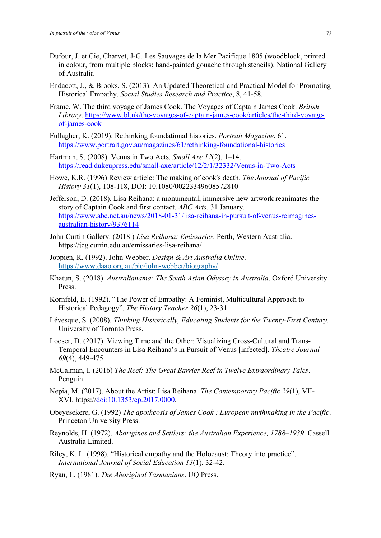- Dufour, J. et Cie, Charvet, J-G. Les Sauvages de la Mer Pacifique 1805 (woodblock, printed in colour, from multiple blocks; hand-painted gouache through stencils). National Gallery of Australia
- Endacott, J., & Brooks, S. (2013). An Updated Theoretical and Practical Model for Promoting Historical Empathy. *Social Studies Research and Practice*, 8, 41-58.
- Frame, W. The third voyage of James Cook. The Voyages of Captain James Cook. *British Library*. https://www.bl.uk/the-voyages-of-captain-james-cook/articles/the-third-voyageof-james-cook
- Fullagher, K. (2019). Rethinking foundational histories. *Portrait Magazine*. 61. https://www.portrait.gov.au/magazines/61/rethinking-foundational-histories
- Hartman, S. (2008). Venus in Two Acts. *Small Axe 12*(2), 1–14. https://read.dukeupress.edu/small-axe/article/12/2/1/32332/Venus-in-Two-Acts
- Howe, K.R. (1996) Review article: The making of cook's death. *The Journal of Pacific History 31*(1), 108-118, DOI: 10.1080/00223349608572810
- Jefferson, D. (2018). Lisa Reihana: a monumental, immersive new artwork reanimates the story of Captain Cook and first contact. *ABC Arts*. 31 January. https://www.abc.net.au/news/2018-01-31/lisa-reihana-in-pursuit-of-venus-reimaginesaustralian-history/9376114
- John Curtin Gallery. (2018 ) *Lisa Reihana: Emissaries*. Perth, Western Australia. https://jcg.curtin.edu.au/emissaries-lisa-reihana/
- Joppien, R. (1992). John Webber. *Design & Art Australia Online*. https://www.daao.org.au/bio/john-webber/biography/
- Khatun, S. (2018). *Australianama: The South Asian Odyssey in Australia*. Oxford University Press.
- Kornfeld, E. (1992). "The Power of Empathy: A Feminist, Multicultural Approach to Historical Pedagogy". *The History Teacher 26*(1), 23-31.
- Lévesque, S. (2008). *Thinking Historically, Educating Students for the Twenty-First Century*. University of Toronto Press.
- Looser, D. (2017). Viewing Time and the Other: Visualizing Cross-Cultural and Trans-Temporal Encounters in Lisa Reihana's in Pursuit of Venus [infected]. *Theatre Journal 69*(4), 449-475.
- McCalman, I. (2016) *The Reef: The Great Barrier Reef in Twelve Extraordinary Tales*. Penguin.
- Nepia, M. (2017). About the Artist: Lisa Reihana. *The Contemporary Pacific 29*(1), VII-XVI. https://doi:10.1353/cp.2017.0000.
- Obeyesekere, G. (1992) *The apotheosis of James Cook : European mythmaking in the Pacific*. Princeton University Press.
- Reynolds, H. (1972). *Aborigines and Settlers: the Australian Experience, 1788–1939*. Cassell Australia Limited.
- Riley, K. L. (1998). "Historical empathy and the Holocaust: Theory into practice". *International Journal of Social Education 13*(1), 32-42.
- Ryan, L. (1981). *The Aboriginal Tasmanians*. UQ Press.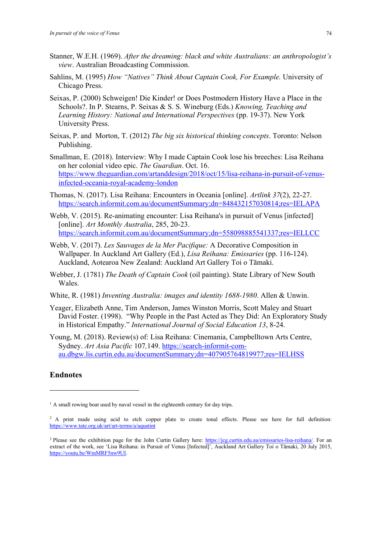- Stanner, W.E.H. (1969). *After the dreaming: black and white Australians: an anthropologist's view*. Australian Broadcasting Commission.
- Sahlins, M. (1995) *How "Natives" Think About Captain Cook, For Example.* University of Chicago Press.
- Seixas, P. (2000) Schweigen! Die Kinder! or Does Postmodern History Have a Place in the Schools?. In P. Stearns, P. Seixas & S. S. Wineburg (Eds.) *Knowing, Teaching and Learning History: National and International Perspectives* (pp. 19-37). New York University Press.
- Seixas, P. and Morton, T. (2012) *The big six historical thinking concepts*. Toronto: Nelson Publishing.
- Smallman, E. (2018). Interview: Why I made Captain Cook lose his breeches: Lisa Reihana on her colonial video epic. *The Guardian*. Oct. 16. https://www.theguardian.com/artanddesign/2018/oct/15/lisa-reihana-in-pursuit-of-venusinfected-oceania-royal-academy-london
- Thomas, N. (2017). Lisa Reihana: Encounters in Oceania [online]. *Artlink 37*(2), 22-27. https://search.informit.com.au/documentSummary;dn=848432157030814;res=IELAPA
- Webb, V. (2015). Re-animating encounter: Lisa Reihana's in pursuit of Venus [infected] [online]. *Art Monthly Australia*, 285, 20-23. https://search.informit.com.au/documentSummary;dn=558098885541337;res=IELLCC
- Webb, V. (2017). *Les Sauvages de la Mer Pacifique:* A Decorative Composition in Wallpaper. In Auckland Art Gallery (Ed.), *Lisa Reihana: Emissaries* (pp. 116-124). Auckland, Aotearoa New Zealand: Auckland Art Gallery Toi o Tāmaki.
- Webber, J. (1781) *The Death of Captain Cook* (oil painting). State Library of New South Wales.
- White, R. (1981) *Inventing Australia: images and identity 1688-1980*. Allen & Unwin.
- Yeager, Elizabeth Anne, Tim Anderson, James Winston Morris, Scott Maley and Stuart David Foster. (1998). "Why People in the Past Acted as They Did: An Exploratory Study in Historical Empathy." *International Journal of Social Education 13*, 8-24.
- Young, M. (2018). Review(s) of: Lisa Reihana: Cinemania, Campbelltown Arts Centre, Sydney. *Art Asia Pacific* 107*,*149. https://search-informit-comau.dbgw.lis.curtin.edu.au/documentSummary;dn=407905764819977;res=IELHSS

### **Endnotes**

<sup>&</sup>lt;sup>1</sup> A small rowing boat used by naval vessel in the eighteenth century for day trips.

<sup>&</sup>lt;sup>2</sup> A print made using acid to etch copper plate to create tonal effects. Please see here for full definition: https://www.tate.org.uk/art/art-terms/a/aquatint

<sup>&</sup>lt;sup>3</sup> Please see the exhibition page for the John Curtin Gallery here: https://jcg.curtin.edu.au/emissaries-lisa-reihana/. For an extract of the work, see 'Lisa Reihana: in Pursuit of Venus [Infected]', Auckland Art Gallery Toi o Tāmaki, 20 July 2015, https://youtu.be/WmMRF5nw9UI.